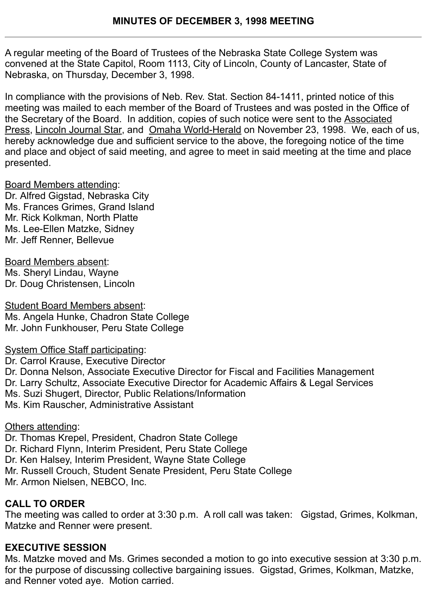A regular meeting of the Board of Trustees of the Nebraska State College System was convened at the State Capitol, Room 1113, City of Lincoln, County of Lancaster, State of Nebraska, on Thursday, December 3, 1998.

In compliance with the provisions of Neb. Rev. Stat. Section 84-1411, printed notice of this meeting was mailed to each member of the Board of Trustees and was posted in the Office of the Secretary of the Board. In addition, copies of such notice were sent to the Associated Press, Lincoln Journal Star, and Omaha World-Herald on November 23, 1998. We, each of us, hereby acknowledge due and sufficient service to the above, the foregoing notice of the time and place and object of said meeting, and agree to meet in said meeting at the time and place presented.

Board Members attending: Dr. Alfred Gigstad, Nebraska City Ms. Frances Grimes, Grand Island Mr. Rick Kolkman, North Platte Ms. Lee-Ellen Matzke, Sidney Mr. Jeff Renner, Bellevue

Board Members absent: Ms. Sheryl Lindau, Wayne Dr. Doug Christensen, Lincoln

Student Board Members absent: Ms. Angela Hunke, Chadron State College Mr. John Funkhouser, Peru State College

System Office Staff participating: Dr. Carrol Krause, Executive Director Dr. Donna Nelson, Associate Executive Director for Fiscal and Facilities Management Dr. Larry Schultz, Associate Executive Director for Academic Affairs & Legal Services Ms. Suzi Shugert, Director, Public Relations/Information Ms. Kim Rauscher, Administrative Assistant

Others attending:

Dr. Thomas Krepel, President, Chadron State College Dr. Richard Flynn, Interim President, Peru State College Dr. Ken Halsey, Interim President, Wayne State College Mr. Russell Crouch, Student Senate President, Peru State College Mr. Armon Nielsen, NEBCO, Inc.

## **CALL TO ORDER**

The meeting was called to order at 3:30 p.m. A roll call was taken: Gigstad, Grimes, Kolkman, Matzke and Renner were present.

# **EXECUTIVE SESSION**

Ms. Matzke moved and Ms. Grimes seconded a motion to go into executive session at 3:30 p.m. for the purpose of discussing collective bargaining issues. Gigstad, Grimes, Kolkman, Matzke, and Renner voted aye. Motion carried.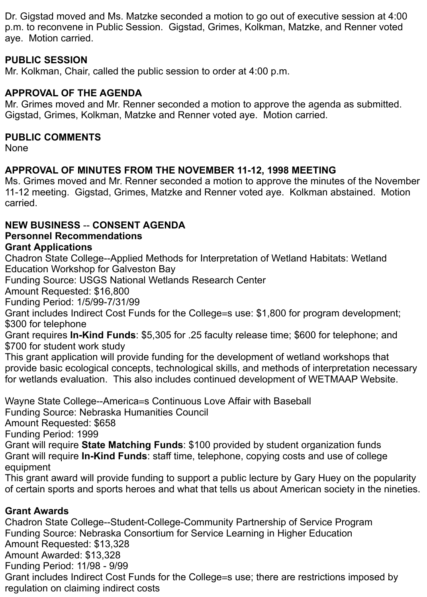Dr. Gigstad moved and Ms. Matzke seconded a motion to go out of executive session at 4:00 p.m. to reconvene in Public Session. Gigstad, Grimes, Kolkman, Matzke, and Renner voted aye. Motion carried.

### **PUBLIC SESSION**

Mr. Kolkman, Chair, called the public session to order at 4:00 p.m.

### **APPROVAL OF THE AGENDA**

Mr. Grimes moved and Mr. Renner seconded a motion to approve the agenda as submitted. Gigstad, Grimes, Kolkman, Matzke and Renner voted aye. Motion carried.

#### **PUBLIC COMMENTS**

None

## **APPROVAL OF MINUTES FROM THE NOVEMBER 11-12, 1998 MEETING**

Ms. Grimes moved and Mr. Renner seconded a motion to approve the minutes of the November 11-12 meeting. Gigstad, Grimes, Matzke and Renner voted aye. Kolkman abstained. Motion carried.

## **NEW BUSINESS** -- **CONSENT AGENDA**

## **Personnel Recommendations**

#### **Grant Applications**

Chadron State College--Applied Methods for Interpretation of Wetland Habitats: Wetland Education Workshop for Galveston Bay

Funding Source: USGS National Wetlands Research Center

Amount Requested: \$16,800

Funding Period: 1/5/99-7/31/99

Grant includes Indirect Cost Funds for the College=s use: \$1,800 for program development; \$300 for telephone

Grant requires **In-Kind Funds**: \$5,305 for .25 faculty release time; \$600 for telephone; and \$700 for student work study

This grant application will provide funding for the development of wetland workshops that provide basic ecological concepts, technological skills, and methods of interpretation necessary for wetlands evaluation. This also includes continued development of WETMAAP Website.

Wayne State College--America=s Continuous Love Affair with Baseball

Funding Source: Nebraska Humanities Council

Amount Requested: \$658

Funding Period: 1999

Grant will require **State Matching Funds**: \$100 provided by student organization funds Grant will require **In-Kind Funds**: staff time, telephone, copying costs and use of college equipment

This grant award will provide funding to support a public lecture by Gary Huey on the popularity of certain sports and sports heroes and what that tells us about American society in the nineties.

### **Grant Awards**

Chadron State College--Student-College-Community Partnership of Service Program Funding Source: Nebraska Consortium for Service Learning in Higher Education Amount Requested: \$13,328 Amount Awarded: \$13,328 Funding Period: 11/98 - 9/99 Grant includes Indirect Cost Funds for the College=s use; there are restrictions imposed by regulation on claiming indirect costs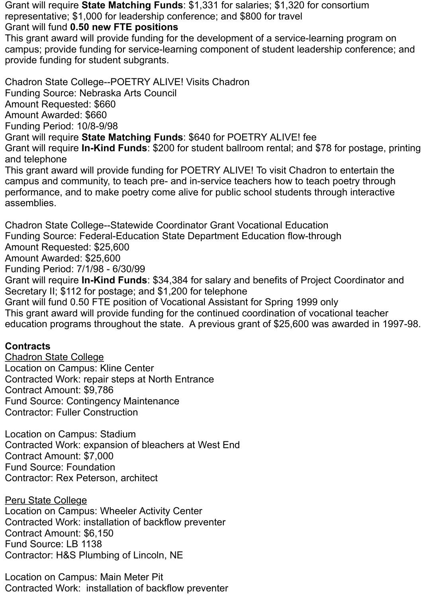Grant will require **State Matching Funds**: \$1,331 for salaries; \$1,320 for consortium representative; \$1,000 for leadership conference; and \$800 for travel

Grant will fund **0.50 new FTE positions**

This grant award will provide funding for the development of a service-learning program on campus; provide funding for service-learning component of student leadership conference; and provide funding for student subgrants.

Chadron State College--POETRY ALIVE! Visits Chadron Funding Source: Nebraska Arts Council Amount Requested: \$660 Amount Awarded: \$660 Funding Period: 10/8-9/98 Grant will require **State Matching Funds**: \$640 for POETRY ALIVE! fee Grant will require **In-Kind Funds**: \$200 for student ballroom rental; and \$78 for postage, printing and telephone This grant award will provide funding for POETRY ALIVE! To visit Chadron to entertain the campus and community, to teach pre- and in-service teachers how to teach poetry through performance, and to make poetry come alive for public school students through interactive assemblies.

Chadron State College--Statewide Coordinator Grant Vocational Education Funding Source: Federal-Education State Department Education flow-through Amount Requested: \$25,600 Amount Awarded: \$25,600 Funding Period: 7/1/98 - 6/30/99 Grant will require **In-Kind Funds**: \$34,384 for salary and benefits of Project Coordinator and Secretary II; \$112 for postage; and \$1,200 for telephone Grant will fund 0.50 FTE position of Vocational Assistant for Spring 1999 only This grant award will provide funding for the continued coordination of vocational teacher education programs throughout the state. A previous grant of \$25,600 was awarded in 1997-98.

### **Contracts**

Chadron State College Location on Campus: Kline Center Contracted Work: repair steps at North Entrance Contract Amount: \$9,786 Fund Source: Contingency Maintenance Contractor: Fuller Construction

Location on Campus: Stadium Contracted Work: expansion of bleachers at West End Contract Amount: \$7,000 Fund Source: Foundation Contractor: Rex Peterson, architect

Peru State College Location on Campus: Wheeler Activity Center Contracted Work: installation of backflow preventer Contract Amount: \$6,150 Fund Source: LB 1138 Contractor: H&S Plumbing of Lincoln, NE

Location on Campus: Main Meter Pit Contracted Work: installation of backflow preventer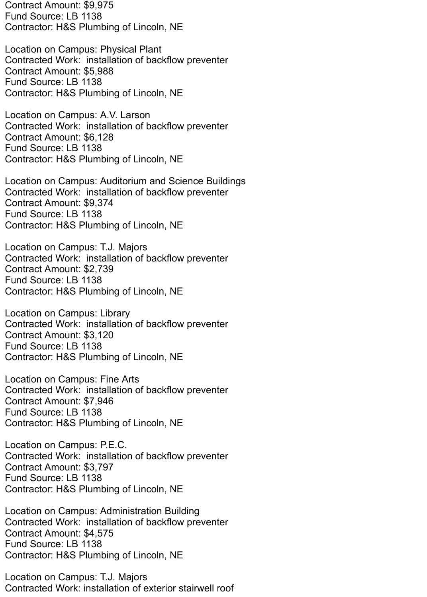Contract Amount: \$9,975 Fund Source: LB 1138 Contractor: H&S Plumbing of Lincoln, NE

Location on Campus: Physical Plant Contracted Work: installation of backflow preventer Contract Amount: \$5,988 Fund Source: LB 1138 Contractor: H&S Plumbing of Lincoln, NE

Location on Campus: A.V. Larson Contracted Work: installation of backflow preventer Contract Amount: \$6,128 Fund Source: LB 1138 Contractor: H&S Plumbing of Lincoln, NE

Location on Campus: Auditorium and Science Buildings Contracted Work: installation of backflow preventer Contract Amount: \$9,374 Fund Source: LB 1138 Contractor: H&S Plumbing of Lincoln, NE

Location on Campus: T.J. Majors Contracted Work: installation of backflow preventer Contract Amount: \$2,739 Fund Source: LB 1138 Contractor: H&S Plumbing of Lincoln, NE

Location on Campus: Library Contracted Work: installation of backflow preventer Contract Amount: \$3,120 Fund Source: LB 1138 Contractor: H&S Plumbing of Lincoln, NE

Location on Campus: Fine Arts Contracted Work: installation of backflow preventer Contract Amount: \$7,946 Fund Source: LB 1138 Contractor: H&S Plumbing of Lincoln, NE

Location on Campus: P.E.C. Contracted Work: installation of backflow preventer Contract Amount: \$3,797 Fund Source: LB 1138 Contractor: H&S Plumbing of Lincoln, NE

Location on Campus: Administration Building Contracted Work: installation of backflow preventer Contract Amount: \$4,575 Fund Source: LB 1138 Contractor: H&S Plumbing of Lincoln, NE

Location on Campus: T.J. Majors Contracted Work: installation of exterior stairwell roof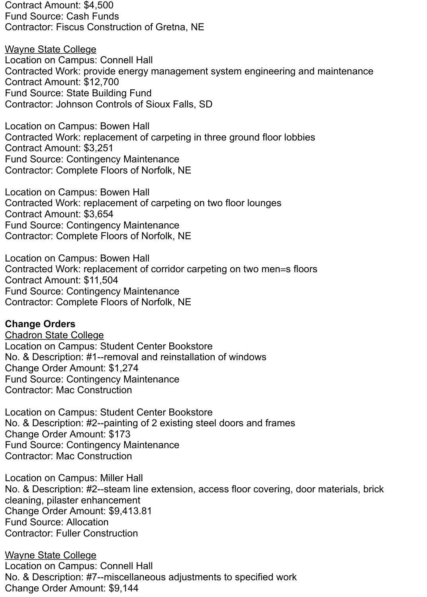Contract Amount: \$4,500 Fund Source: Cash Funds Contractor: Fiscus Construction of Gretna, NE

Wayne State College Location on Campus: Connell Hall Contracted Work: provide energy management system engineering and maintenance Contract Amount: \$12,700 Fund Source: State Building Fund Contractor: Johnson Controls of Sioux Falls, SD

Location on Campus: Bowen Hall Contracted Work: replacement of carpeting in three ground floor lobbies Contract Amount: \$3,251 Fund Source: Contingency Maintenance Contractor: Complete Floors of Norfolk, NE

Location on Campus: Bowen Hall Contracted Work: replacement of carpeting on two floor lounges Contract Amount: \$3,654 Fund Source: Contingency Maintenance Contractor: Complete Floors of Norfolk, NE

Location on Campus: Bowen Hall Contracted Work: replacement of corridor carpeting on two men=s floors Contract Amount: \$11,504 Fund Source: Contingency Maintenance Contractor: Complete Floors of Norfolk, NE

#### **Change Orders**

Chadron State College Location on Campus: Student Center Bookstore No. & Description: #1--removal and reinstallation of windows Change Order Amount: \$1,274 Fund Source: Contingency Maintenance Contractor: Mac Construction

Location on Campus: Student Center Bookstore No. & Description: #2--painting of 2 existing steel doors and frames Change Order Amount: \$173 Fund Source: Contingency Maintenance Contractor: Mac Construction

Location on Campus: Miller Hall No. & Description: #2--steam line extension, access floor covering, door materials, brick cleaning, pilaster enhancement Change Order Amount: \$9,413.81 Fund Source: Allocation Contractor: Fuller Construction

Wayne State College Location on Campus: Connell Hall No. & Description: #7--miscellaneous adjustments to specified work Change Order Amount: \$9,144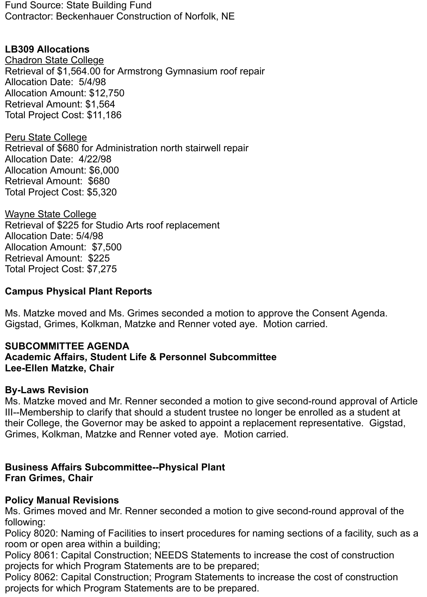Fund Source: State Building Fund Contractor: Beckenhauer Construction of Norfolk, NE

## **LB309 Allocations**

Chadron State College Retrieval of \$1,564.00 for Armstrong Gymnasium roof repair Allocation Date: 5/4/98 Allocation Amount: \$12,750 Retrieval Amount: \$1,564 Total Project Cost: \$11,186

**Peru State College** Retrieval of \$680 for Administration north stairwell repair Allocation Date: 4/22/98 Allocation Amount: \$6,000 Retrieval Amount: \$680 Total Project Cost: \$5,320

Wayne State College Retrieval of \$225 for Studio Arts roof replacement Allocation Date: 5/4/98 Allocation Amount: \$7,500 Retrieval Amount: \$225 Total Project Cost: \$7,275

### **Campus Physical Plant Reports**

Ms. Matzke moved and Ms. Grimes seconded a motion to approve the Consent Agenda. Gigstad, Grimes, Kolkman, Matzke and Renner voted aye. Motion carried.

#### **SUBCOMMITTEE AGENDA Academic Affairs, Student Life & Personnel Subcommittee Lee-Ellen Matzke, Chair**

#### **By-Laws Revision**

Ms. Matzke moved and Mr. Renner seconded a motion to give second-round approval of Article III--Membership to clarify that should a student trustee no longer be enrolled as a student at their College, the Governor may be asked to appoint a replacement representative. Gigstad, Grimes, Kolkman, Matzke and Renner voted aye. Motion carried.

### **Business Affairs Subcommittee--Physical Plant Fran Grimes, Chair**

### **Policy Manual Revisions**

Ms. Grimes moved and Mr. Renner seconded a motion to give second-round approval of the following:

Policy 8020: Naming of Facilities to insert procedures for naming sections of a facility, such as a room or open area within a building;

Policy 8061: Capital Construction; NEEDS Statements to increase the cost of construction projects for which Program Statements are to be prepared;

Policy 8062: Capital Construction; Program Statements to increase the cost of construction projects for which Program Statements are to be prepared.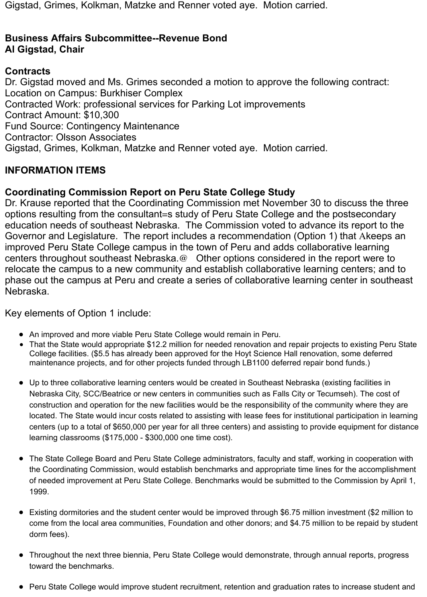Gigstad, Grimes, Kolkman, Matzke and Renner voted aye. Motion carried.

### **Business Affairs Subcommittee--Revenue Bond Al Gigstad, Chair**

### **Contracts**

Dr. Gigstad moved and Ms. Grimes seconded a motion to approve the following contract: Location on Campus: Burkhiser Complex Contracted Work: professional services for Parking Lot improvements Contract Amount: \$10,300 Fund Source: Contingency Maintenance Contractor: Olsson Associates Gigstad, Grimes, Kolkman, Matzke and Renner voted aye. Motion carried.

## **INFORMATION ITEMS**

## **Coordinating Commission Report on Peru State College Study**

Dr. Krause reported that the Coordinating Commission met November 30 to discuss the three options resulting from the consultant=s study of Peru State College and the postsecondary education needs of southeast Nebraska. The Commission voted to advance its report to the Governor and Legislature. The report includes a recommendation (Option 1) that Akeeps an improved Peru State College campus in the town of Peru and adds collaborative learning centers throughout southeast Nebraska.@ Other options considered in the report were to relocate the campus to a new community and establish collaborative learning centers; and to phase out the campus at Peru and create a series of collaborative learning center in southeast Nebraska.

Key elements of Option 1 include:

- An improved and more viable Peru State College would remain in Peru.
- That the State would appropriate \$12.2 million for needed renovation and repair projects to existing Peru State  $\bullet$ College facilities. (\$5.5 has already been approved for the Hoyt Science Hall renovation, some deferred maintenance projects, and for other projects funded through LB1100 deferred repair bond funds.)
- Up to three collaborative learning centers would be created in Southeast Nebraska (existing facilities in Nebraska City, SCC/Beatrice or new centers in communities such as Falls City or Tecumseh). The cost of construction and operation for the new facilities would be the responsibility of the community where they are located. The State would incur costs related to assisting with lease fees for institutional participation in learning centers (up to a total of \$650,000 per year for all three centers) and assisting to provide equipment for distance learning classrooms (\$175,000 - \$300,000 one time cost).
- The State College Board and Peru State College administrators, faculty and staff, working in cooperation with the Coordinating Commission, would establish benchmarks and appropriate time lines for the accomplishment of needed improvement at Peru State College. Benchmarks would be submitted to the Commission by April 1, 1999.
- Existing dormitories and the student center would be improved through \$6.75 million investment (\$2 million to come from the local area communities, Foundation and other donors; and \$4.75 million to be repaid by student dorm fees).
- Throughout the next three biennia, Peru State College would demonstrate, through annual reports, progress  $\bullet$ toward the benchmarks.
- Peru State College would improve student recruitment, retention and graduation rates to increase student and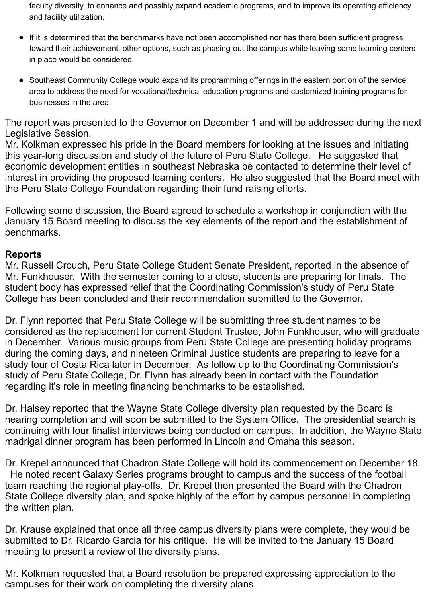faculty diversity, to enhance and possibly expand academic programs, and to improve its operating efficiency and facility utilization.

- If it is determined that the benchmarks have not been accomplished nor has there been sufficient progress toward their achievement, other options, such as phasing-out the campus while leaving some learning centers in place would be considered.
- Southeast Community College would expand its programming offerings in the eastern portion of the service area to address the need for vocational/technical education programs and customized training programs for businesses in the area.

The report was presented to the Governor on December 1 and will be addressed during the next Legislative Session.

Mr. Kolkman expressed his pride in the Board members for looking at the issues and initiating this year-long discussion and study of the future of Peru State College. He suggested that economic development entities in southeast Nebraska be contacted to determine their level of interest in providing the proposed learning centers. He also suggested that the Board meet with the Peru State College Foundation regarding their fund raising efforts.

Following some discussion, the Board agreed to schedule a workshop in conjunction with the January 15 Board meeting to discuss the key elements of the report and the establishment of benchmarks.

#### **Reports**

Mr. Russell Crouch, Peru State College Student Senate President, reported in the absence of Mr. Funkhouser. With the semester coming to a close, students are preparing for finals. The student body has expressed relief that the Coordinating Commission's study of Peru State College has been concluded and their recommendation submitted to the Governor.

Dr. Flynn reported that Peru State College will be submitting three student names to be considered as the replacement for current Student Trustee, John Funkhouser, who will graduate in December. Various music groups from Peru State College are presenting holiday programs during the coming days, and nineteen Criminal Justice students are preparing to leave for a study tour of Costa Rica later in December. As follow up to the Coordinating Commission's study of Peru State College, Dr. Flynn has already been in contact with the Foundation regarding it's role in meeting financing benchmarks to be established.

Dr. Halsey reported that the Wayne State College diversity plan requested by the Board is nearing completion and will soon be submitted to the System Office. The presidential search is continuing with four finalist interviews being conducted on campus. In addition, the Wayne State madrigal dinner program has been performed in Lincoln and Omaha this season.

Dr. Krepel announced that Chadron State College will hold its commencement on December 18. He noted recent Galaxy Series programs brought to campus and the success of the football team reaching the regional play-offs. Dr. Krepel then presented the Board with the Chadron State College diversity plan, and spoke highly of the effort by campus personnel in completing the written plan.

Dr. Krause explained that once all three campus diversity plans were complete, they would be submitted to Dr. Ricardo Garcia for his critique. He will be invited to the January 15 Board meeting to present a review of the diversity plans.

Mr. Kolkman requested that a Board resolution be prepared expressing appreciation to the campuses for their work on completing the diversity plans.